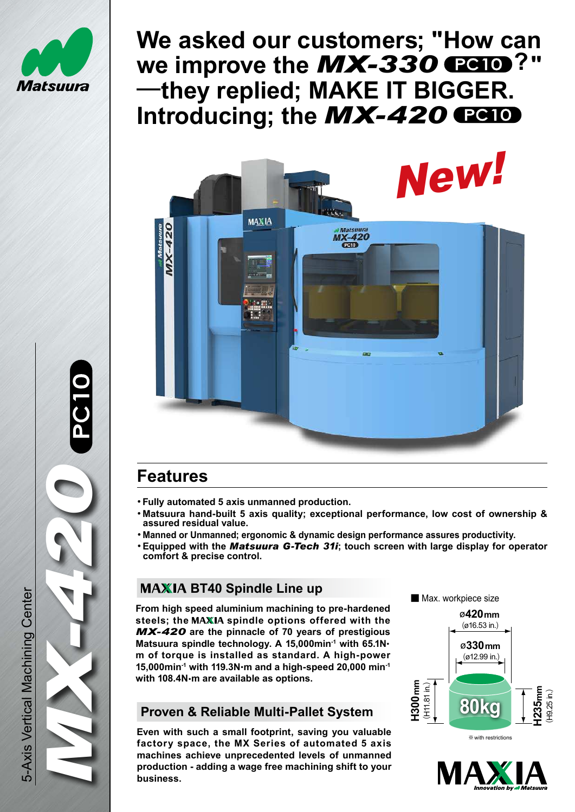

<u>በ</u>

O<br>0<br>0

# **We asked our customers; "How can**  we improve the  $MX-330$  **PC10**?" **―they replied; MAKE IT BIGGER.** Introducing; the **MX-420 PC10**



## **Features**

- **・Fully automated 5 axis unmanned production.**
- **・Matsuura hand-built 5 axis quality; exceptional performance, low cost of ownership & assured residual value.**
- **・Manned or Unmanned; ergonomic & dynamic design performance assures productivity.** *MX-420*
	- **・Equipped with the** *Matsuura G-Tech 31i***; touch screen with large display for operator comfort & precise control.**

## **MAXIA BT40 Spindle Line up**

 **From high speed aluminium machining to pre-hardened** steels; the MAXIA spindle options offered with the *MX-420* **are the pinnacle of 70 years of prestigious Matsuura spindle technology. A 15,000min-1 with 65.1N**・ **m of torque is installed as standard. A high-power 15,000min-1 with 119.3N**・**m and a high-speed 20,000 min-1 with 108.4N**・**m are available as options.**

## **Proven & Reliable Multi-Pallet System**

**Even with such a small footprint, saving you valuable factory space, the MX Series of automated 5 axis machines achieve unprecedented levels of unmanned production - adding a wage free machining shift to your business.** 







5-Axis Vertical Machining Center 5-Axis Vertical Machining Center